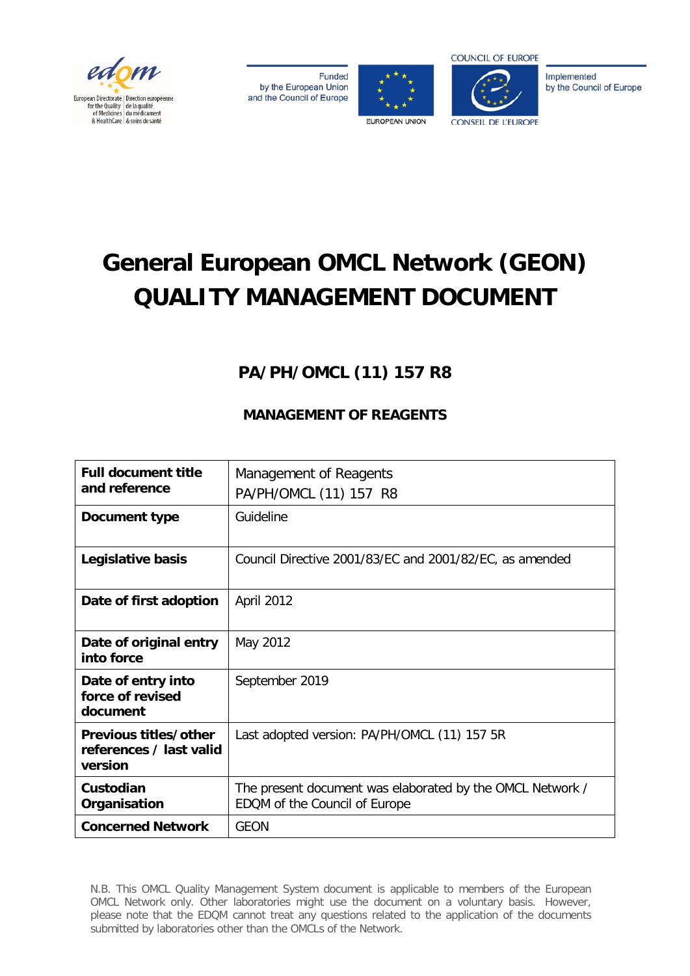

Eunded by the European Union and the Council of Europe





Implemented by the Council of Europe

**CONSEIL DE L'EUROPE** 

# **General European OMCL Network (GEON) QUALITY MANAGEMENT DOCUMENT**

# **PA/PH/OMCL (11) 157 R8**

## **MANAGEMENT OF REAGENTS**

| <b>Full document title</b><br>and reference                 | Management of Reagents<br>PA/PH/OMCL (11) 157 R8                                           |  |  |  |
|-------------------------------------------------------------|--------------------------------------------------------------------------------------------|--|--|--|
| Document type                                               | Guideline                                                                                  |  |  |  |
| Legislative basis                                           | Council Directive 2001/83/EC and 2001/82/EC, as amended                                    |  |  |  |
| Date of first adoption                                      | April 2012                                                                                 |  |  |  |
| Date of original entry<br>into force                        | May 2012                                                                                   |  |  |  |
| Date of entry into<br>force of revised<br>document          | September 2019                                                                             |  |  |  |
| Previous titles/other<br>references / last valid<br>version | Last adopted version: PA/PH/OMCL (11) 157 5R                                               |  |  |  |
| Custodian<br>Organisation                                   | The present document was elaborated by the OMCL Network /<br>EDQM of the Council of Europe |  |  |  |
| <b>Concerned Network</b>                                    | GEON                                                                                       |  |  |  |

N.B. This OMCL Quality Management System document is applicable to members of the European OMCL Network only. Other laboratories might use the document on a voluntary basis. However, please note that the EDQM cannot treat any questions related to the application of the documents submitted by laboratories other than the OMCLs of the Network.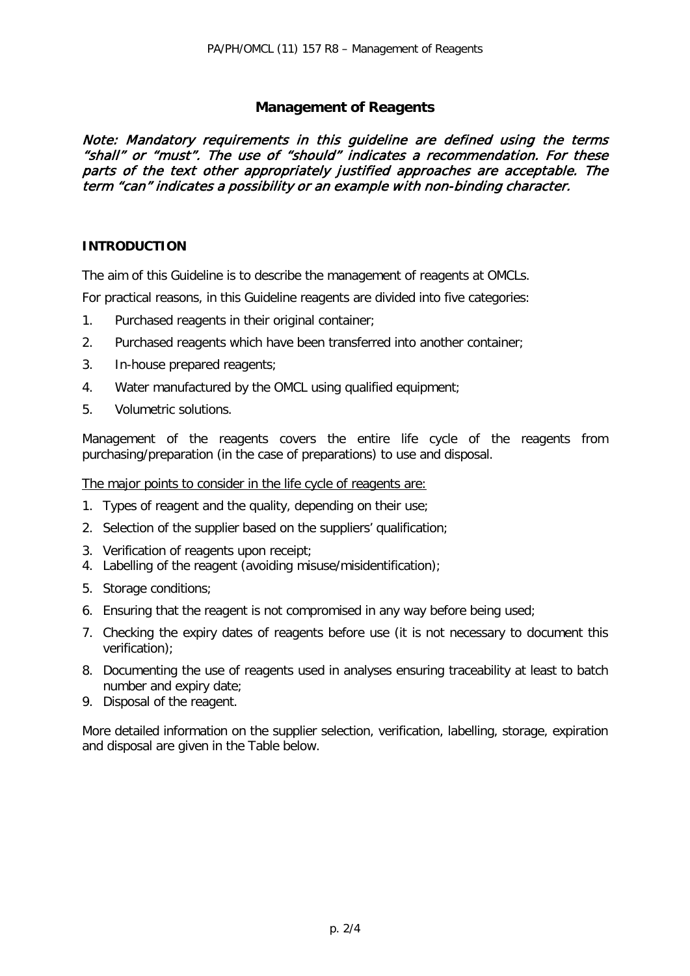### **Management of Reagents**

Note: Mandatory requirements in this guideline are defined using the terms "shall" or "must". The use of "should" indicates a recommendation. For these parts of the text other appropriately justified approaches are acceptable. The term "can" indicates a possibility or an example with non-binding character.

#### **INTRODUCTION**

The aim of this Guideline is to describe the management of reagents at OMCLs.

For practical reasons, in this Guideline reagents are divided into five categories:

- 1. Purchased reagents in their original container;
- 2. Purchased reagents which have been transferred into another container;
- 3. In-house prepared reagents;
- 4. Water manufactured by the OMCL using qualified equipment;
- 5. Volumetric solutions.

Management of the reagents covers the entire life cycle of the reagents from purchasing/preparation (in the case of preparations) to use and disposal.

The major points to consider in the life cycle of reagents are:

- 1. Types of reagent and the quality, depending on their use;
- 2. Selection of the supplier based on the suppliers' qualification;
- 3. Verification of reagents upon receipt;
- 4. Labelling of the reagent (avoiding misuse/misidentification);
- 5. Storage conditions;
- 6. Ensuring that the reagent is not compromised in any way before being used;
- 7. Checking the expiry dates of reagents before use (it is not necessary to document this verification);
- 8. Documenting the use of reagents used in analyses ensuring traceability at least to batch number and expiry date;
- 9. Disposal of the reagent.

More detailed information on the supplier selection, verification, labelling, storage, expiration and disposal are given in the Table below.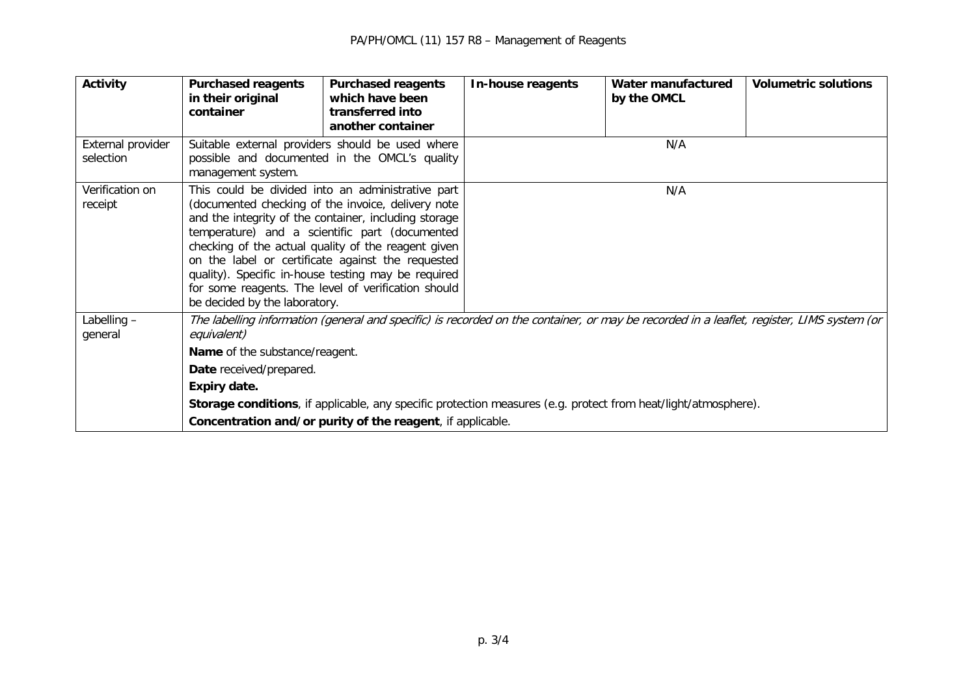| <b>Activity</b>                | <b>Purchased reagents</b><br>in their original<br>container                                                                                                                                                                                                                                                                                             | <b>Purchased reagents</b><br>which have been<br>transferred into<br>another container                                                                                                                                                                                                                                                                                                                                                        | In-house reagents | Water manufactured<br>by the OMCL | <b>Volumetric solutions</b> |  |
|--------------------------------|---------------------------------------------------------------------------------------------------------------------------------------------------------------------------------------------------------------------------------------------------------------------------------------------------------------------------------------------------------|----------------------------------------------------------------------------------------------------------------------------------------------------------------------------------------------------------------------------------------------------------------------------------------------------------------------------------------------------------------------------------------------------------------------------------------------|-------------------|-----------------------------------|-----------------------------|--|
| External provider<br>selection | Suitable external providers should be used where<br>possible and documented in the OMCL's quality<br>management system.                                                                                                                                                                                                                                 |                                                                                                                                                                                                                                                                                                                                                                                                                                              | N/A               |                                   |                             |  |
| Verification on<br>receipt     | be decided by the laboratory.                                                                                                                                                                                                                                                                                                                           | This could be divided into an administrative part<br>(documented checking of the invoice, delivery note<br>and the integrity of the container, including storage<br>temperature) and a scientific part (documented<br>checking of the actual quality of the reagent given<br>on the label or certificate against the requested<br>quality). Specific in-house testing may be required<br>for some reagents. The level of verification should | N/A               |                                   |                             |  |
| Labelling -<br>general         | The labelling information (general and specific) is recorded on the container, or may be recorded in a leaflet, register, LIMS system (or<br>equivalent)<br>Name of the substance/reagent.<br>Date received/prepared.<br>Expiry date.<br>Storage conditions, if applicable, any specific protection measures (e.g. protect from heat/light/atmosphere). |                                                                                                                                                                                                                                                                                                                                                                                                                                              |                   |                                   |                             |  |
|                                | Concentration and/or purity of the reagent, if applicable.                                                                                                                                                                                                                                                                                              |                                                                                                                                                                                                                                                                                                                                                                                                                                              |                   |                                   |                             |  |